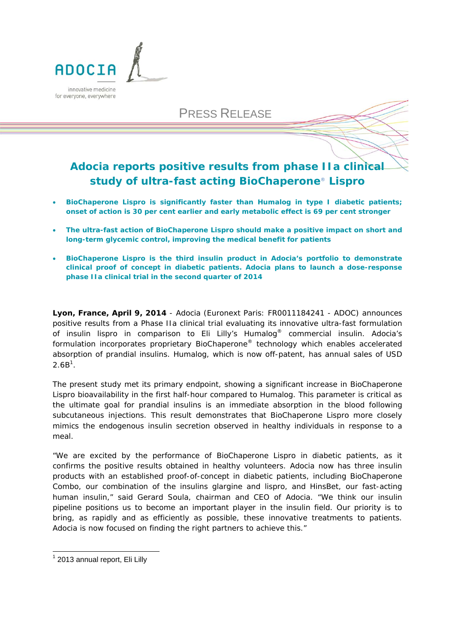

PRESS RELEASE

# **Adocia reports positive results from phase IIa clinical study of ultra-fast acting BioChaperone**® **Lispro**

- **BioChaperone Lispro is significantly faster than Humalog in type I diabetic patients; onset of action is 30 per cent earlier and early metabolic effect is 69 per cent stronger**
- **The ultra-fast action of BioChaperone Lispro should make a positive impact on short and long-term glycemic control, improving the medical benefit for patients**
- **BioChaperone Lispro is the third insulin product in Adocia's portfolio to demonstrate clinical proof of concept in diabetic patients. Adocia plans to launch a dose-response phase IIa clinical trial in the second quarter of 2014**

**Lyon, France, April 9, 2014** - Adocia (Euronext Paris: FR0011184241 - ADOC) announces positive results from a Phase IIa clinical trial evaluating its innovative ultra-fast formulation of insulin lispro in comparison to Eli Lilly's Humalog® commercial insulin. Adocia's formulation incorporates proprietary BioChaperone® technology which enables accelerated absorption of prandial insulins. Humalog, which is now off-patent, has annual sales of USD  $2.6B<sup>1</sup>$ .

The present study met its primary endpoint, showing a significant increase in BioChaperone Lispro bioavailability in the first half-hour compared to Humalog. This parameter is critical as the ultimate goal for prandial insulins is an immediate absorption in the blood following subcutaneous injections. This result demonstrates that BioChaperone Lispro more closely mimics the endogenous insulin secretion observed in healthy individuals in response to a meal.

"We are excited by the performance of BioChaperone Lispro in diabetic patients, as it confirms the positive results obtained in healthy volunteers. Adocia now has three insulin products with an established proof-of-concept in diabetic patients, including BioChaperone Combo, our combination of the insulins glargine and lispro, and HinsBet, our fast-acting human insulin," said Gerard Soula, chairman and CEO of Adocia. "We think our insulin pipeline positions us to become an important player in the insulin field. Our priority is to bring, as rapidly and as efficiently as possible, these innovative treatments to patients. Adocia is now focused on finding the right partners to achieve this."

1

<sup>&</sup>lt;sup>1</sup> 2013 annual report, Eli Lilly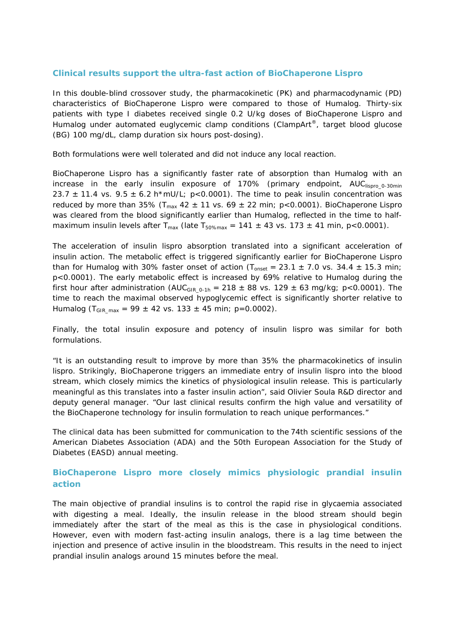## **Clinical results support the ultra-fast action of BioChaperone Lispro**

In this double-blind crossover study, the pharmacokinetic (PK) and pharmacodynamic (PD) characteristics of BioChaperone Lispro were compared to those of Humalog. Thirty-six patients with type I diabetes received single 0.2 U/kg doses of BioChaperone Lispro and Humalog under automated euglycemic clamp conditions (ClampArt®, target blood glucose (BG) 100 mg/dL, clamp duration six hours post-dosing).

Both formulations were well tolerated and did not induce any local reaction.

BioChaperone Lispro has a significantly faster rate of absorption than Humalog with an increase in the early insulin exposure of 170% (primary endpoint,  $AUC<sub>lisoro</sub>$ <sub>0-30min</sub> 23.7  $\pm$  11.4 vs. 9.5  $\pm$  6.2 h\*mU/L; p<0.0001). The time to peak insulin concentration was reduced by more than 35% ( $T_{max}$  42  $\pm$  11 vs. 69  $\pm$  22 min; p<0.0001). BioChaperone Lispro was cleared from the blood significantly earlier than Humalog, reflected in the time to halfmaximum insulin levels after  $T_{\text{max}}$  (late  $T_{50\%\text{max}} = 141 \pm 43$  vs. 173  $\pm$  41 min, p<0.0001).

The acceleration of insulin lispro absorption translated into a significant acceleration of insulin action. The metabolic effect is triggered significantly earlier for BioChaperone Lispro than for Humalog with 30% faster onset of action ( $T_{onset} = 23.1 \pm 7.0$  vs. 34.4  $\pm$  15.3 min; p<0.0001). The early metabolic effect is increased by 69% relative to Humalog during the first hour after administration (AUC<sub>GIR\_0-1h</sub> = 218 ± 88 vs. 129 ± 63 mg/kg; p<0.0001). The time to reach the maximal observed hypoglycemic effect is significantly shorter relative to Humalog (T<sub>GIR max</sub> = 99 ± 42 vs. 133 ± 45 min; p=0.0002).

Finally, the total insulin exposure and potency of insulin lispro was similar for both formulations.

"It is an outstanding result to improve by more than 35% the pharmacokinetics of insulin lispro. Strikingly, BioChaperone triggers an immediate entry of insulin lispro into the blood stream, which closely mimics the kinetics of physiological insulin release. This is particularly meaningful as this translates into a faster insulin action", said Olivier Soula R&D director and deputy general manager. "Our last clinical results confirm the high value and versatility of the BioChaperone technology for insulin formulation to reach unique performances."

The clinical data has been submitted for communication to the 74th scientific sessions of the American Diabetes Association (ADA) and the 50th European Association for the Study of Diabetes (EASD) annual meeting.

# **BioChaperone Lispro more closely mimics physiologic prandial insulin action**

The main objective of prandial insulins is to control the rapid rise in glycaemia associated with digesting a meal. Ideally, the insulin release in the blood stream should begin immediately after the start of the meal as this is the case in physiological conditions. However, even with modern fast-acting insulin analogs, there is a lag time between the injection and presence of active insulin in the bloodstream. This results in the need to inject prandial insulin analogs around 15 minutes before the meal.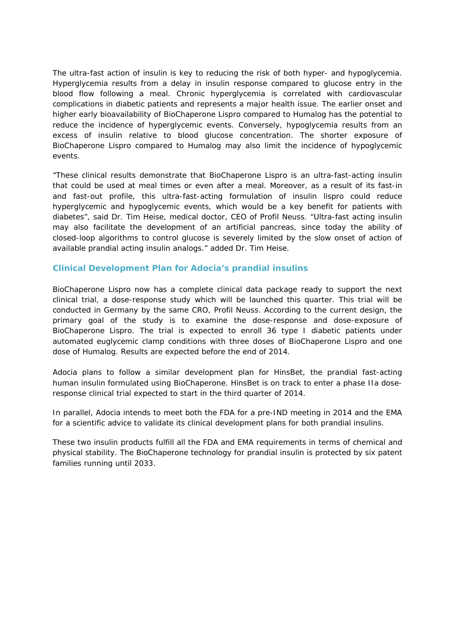The ultra-fast action of insulin is key to reducing the risk of both hyper- and hypoglycemia. Hyperglycemia results from a delay in insulin response compared to glucose entry in the blood flow following a meal. Chronic hyperglycemia is correlated with cardiovascular complications in diabetic patients and represents a major health issue. The earlier onset and higher early bioavailability of BioChaperone Lispro compared to Humalog has the potential to reduce the incidence of hyperglycemic events. Conversely, hypoglycemia results from an excess of insulin relative to blood glucose concentration. The shorter exposure of BioChaperone Lispro compared to Humalog may also limit the incidence of hypoglycemic events.

"These clinical results demonstrate that BioChaperone Lispro is an ultra-fast-acting insulin that could be used at meal times or even after a meal. Moreover, as a result of its fast-in and fast-out profile, this ultra-fast-acting formulation of insulin lispro could reduce hyperglycemic and hypoglycemic events, which would be a key benefit for patients with diabetes", said Dr. Tim Heise, medical doctor, CEO of Profil Neuss. "Ultra-fast acting insulin may also facilitate the development of an artificial pancreas, since today the ability of closed-loop algorithms to control glucose is severely limited by the slow onset of action of available prandial acting insulin analogs." added Dr. Tim Heise.

## **Clinical Development Plan for Adocia's prandial insulins**

BioChaperone Lispro now has a complete clinical data package ready to support the next clinical trial, a dose-response study which will be launched this quarter. This trial will be conducted in Germany by the same CRO, Profil Neuss. According to the current design, the primary goal of the study is to examine the dose-response and dose-exposure of BioChaperone Lispro. The trial is expected to enroll 36 type I diabetic patients under automated euglycemic clamp conditions with three doses of BioChaperone Lispro and one dose of Humalog. Results are expected before the end of 2014.

Adocia plans to follow a similar development plan for HinsBet, the prandial fast-acting human insulin formulated using BioChaperone. HinsBet is on track to enter a phase IIa doseresponse clinical trial expected to start in the third quarter of 2014.

In parallel, Adocia intends to meet both the FDA for a pre-IND meeting in 2014 and the EMA for a scientific advice to validate its clinical development plans for both prandial insulins.

These two insulin products fulfill all the FDA and EMA requirements in terms of chemical and physical stability. The BioChaperone technology for prandial insulin is protected by six patent families running until 2033.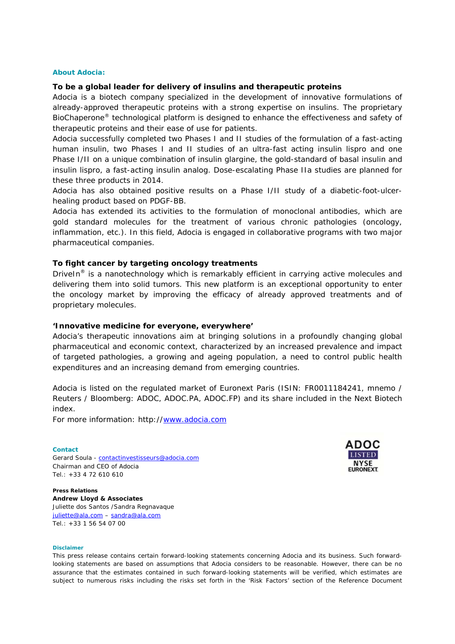#### **About Adocia:**

#### **To be a global leader for delivery of insulins and therapeutic proteins**

Adocia is a biotech company specialized in the development of innovative formulations of already-approved therapeutic proteins with a strong expertise on insulins. The proprietary BioChaperone® technological platform is designed to enhance the effectiveness and safety of therapeutic proteins and their ease of use for patients.

Adocia successfully completed two Phases I and II studies of the formulation of a fast-acting human insulin, two Phases I and II studies of an ultra-fast acting insulin lispro and one Phase I/II on a unique combination of insulin glargine, the gold-standard of basal insulin and insulin lispro, a fast-acting insulin analog. Dose-escalating Phase IIa studies are planned for these three products in 2014.

Adocia has also obtained positive results on a Phase I/II study of a diabetic-foot-ulcerhealing product based on PDGF-BB.

Adocia has extended its activities to the formulation of monoclonal antibodies, which are gold standard molecules for the treatment of various chronic pathologies (oncology, inflammation, etc.). In this field, Adocia is engaged in collaborative programs with two major pharmaceutical companies.

### **To fight cancer by targeting oncology treatments**

DriveIn<sup>®</sup> is a nanotechnology which is remarkably efficient in carrying active molecules and delivering them into solid tumors. This new platform is an exceptional opportunity to enter the oncology market by improving the efficacy of already approved treatments and of proprietary molecules.

#### **'Innovative medicine for everyone, everywhere'**

Adocia's therapeutic innovations aim at bringing solutions in a profoundly changing global pharmaceutical and economic context, characterized by an increased prevalence and impact of targeted pathologies, a growing and ageing population, a need to control public health expenditures and an increasing demand from emerging countries.

Adocia is listed on the regulated market of Euronext Paris (ISIN: FR0011184241, mnemo / Reuters / Bloomberg: ADOC, ADOC.PA, ADOC.FP) and its share included in the Next Biotech index.

For more information: http://www.adocia.com

#### **Contact**

Gerard Soula - contactinvestisseurs@adocia.com Chairman and CEO of Adocia Tel.: +33 4 72 610 610



**Press Relations Andrew Lloyd & Associates** Juliette dos Santos /Sandra Regnavaque juliette@ala.com – sandra@ala.com Tel.: +33 1 56 54 07 00

#### **Disclaimer**

This press release contains certain forward-looking statements concerning Adocia and its business. Such forwardlooking statements are based on assumptions that Adocia considers to be reasonable. However, there can be no assurance that the estimates contained in such forward-looking statements will be verified, which estimates are subject to numerous risks including the risks set forth in the 'Risk Factors' section of the Reference Document